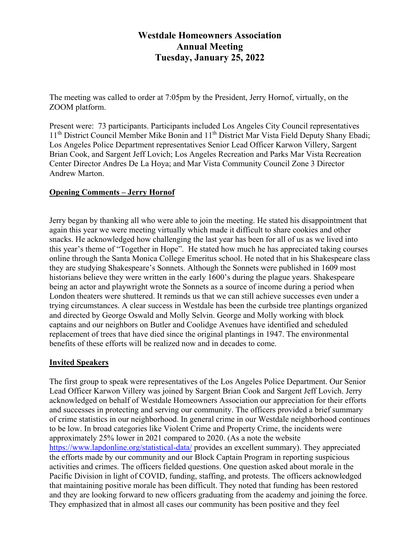# **Westdale Homeowners Association Annual Meeting Tuesday, January 25, 2022**

The meeting was called to order at 7:05pm by the President, Jerry Hornof, virtually, on the ZOOM platform.

Present were: 73 participants. Participants included Los Angeles City Council representatives 11<sup>th</sup> District Council Member Mike Bonin and 11<sup>th</sup> District Mar Vista Field Deputy Shany Ebadi; Los Angeles Police Department representatives Senior Lead Officer Karwon Villery, Sargent Brian Cook, and Sargent Jeff Lovich; Los Angeles Recreation and Parks Mar Vista Recreation Center Director Andres De La Hoya; and Mar Vista Community Council Zone 3 Director Andrew Marton.

### **Opening Comments – Jerry Hornof**

Jerry began by thanking all who were able to join the meeting. He stated his disappointment that again this year we were meeting virtually which made it difficult to share cookies and other snacks. He acknowledged how challenging the last year has been for all of us as we lived into this year's theme of "Together in Hope". He stated how much he has appreciated taking courses online through the Santa Monica College Emeritus school. He noted that in his Shakespeare class they are studying Shakespeare's Sonnets. Although the Sonnets were published in 1609 most historians believe they were written in the early 1600's during the plague years. Shakespeare being an actor and playwright wrote the Sonnets as a source of income during a period when London theaters were shuttered. It reminds us that we can still achieve successes even under a trying circumstances. A clear success in Westdale has been the curbside tree plantings organized and directed by George Oswald and Molly Selvin. George and Molly working with block captains and our neighbors on Butler and Coolidge Avenues have identified and scheduled replacement of trees that have died since the original plantings in 1947. The environmental benefits of these efforts will be realized now and in decades to come.

#### **Invited Speakers**

The first group to speak were representatives of the Los Angeles Police Department. Our Senior Lead Officer Karwon Villery was joined by Sargent Brian Cook and Sargent Jeff Lovich. Jerry acknowledged on behalf of Westdale Homeowners Association our appreciation for their efforts and successes in protecting and serving our community. The officers provided a brief summary of crime statistics in our neighborhood. In general crime in our Westdale neighborhood continues to be low. In broad categories like Violent Crime and Property Crime, the incidents were approximately 25% lower in 2021 compared to 2020. (As a note the website <https://www.lapdonline.org/statistical-data/> provides an excellent summary). They appreciated the efforts made by our community and our Block Captain Program in reporting suspicious activities and crimes. The officers fielded questions. One question asked about morale in the Pacific Division in light of COVID, funding, staffing, and protests. The officers acknowledged that maintaining positive morale has been difficult. They noted that funding has been restored and they are looking forward to new officers graduating from the academy and joining the force. They emphasized that in almost all cases our community has been positive and they feel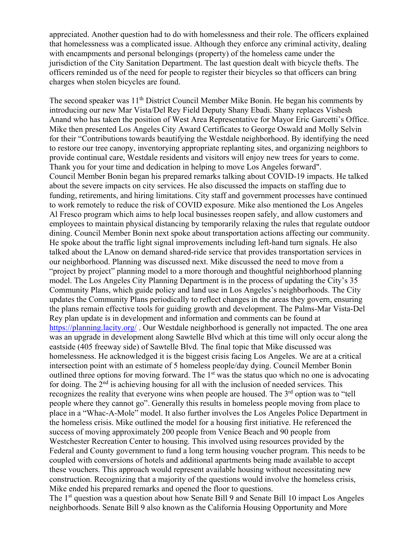appreciated. Another question had to do with homelessness and their role. The officers explained that homelessness was a complicated issue. Although they enforce any criminal activity, dealing with encampments and personal belongings (property) of the homeless came under the jurisdiction of the City Sanitation Department. The last question dealt with bicycle thefts. The officers reminded us of the need for people to register their bicycles so that officers can bring charges when stolen bicycles are found.

The second speaker was  $11<sup>th</sup>$  District Council Member Mike Bonin. He began his comments by introducing our new Mar Vista/Del Rey Field Deputy Shany Ebadi. Shany replaces Vishesh Anand who has taken the position of West Area Representative for Mayor Eric Garcetti's Office. Mike then presented Los Angeles City Award Certificates to George Oswald and Molly Selvin for their "Contributions towards beautifying the Westdale neighborhood. By identifying the need to restore our tree canopy, inventorying appropriate replanting sites, and organizing neighbors to provide continual care, Westdale residents and visitors will enjoy new trees for years to come. Thank you for your time and dedication in helping to move Los Angeles forward". Council Member Bonin began his prepared remarks talking about COVID-19 impacts. He talked about the severe impacts on city services. He also discussed the impacts on staffing due to funding, retirements, and hiring limitations. City staff and government processes have continued to work remotely to reduce the risk of COVID exposure. Mike also mentioned the Los Angeles Al Fresco program which aims to help local businesses reopen safely, and allow customers and employees to maintain physical distancing by temporarily relaxing the rules that regulate outdoor dining. Council Member Bonin next spoke about transportation actions affecting our community. He spoke about the traffic light signal improvements including left-hand turn signals. He also talked about the LAnow on demand shared-ride service that provides transportation services in our neighborhood. Planning was discussed next. Mike discussed the need to move from a "project by project" planning model to a more thorough and thoughtful neighborhood planning model. The Los Angeles City Planning Department is in the process of updating the City's 35 Community Plans, which guide policy and land use in Los Angeles's neighborhoods. The City updates the Community Plans periodically to reflect changes in the areas they govern, ensuring the plans remain effective tools for guiding growth and development. The Palms-Mar Vista-Del Rey plan update is in development and information and comments can be found at <https://planning.lacity.org/> . Our Westdale neighborhood is generally not impacted. The one area was an upgrade in development along Sawtelle Blvd which at this time will only occur along the eastside (405 freeway side) of Sawtelle Blvd. The final topic that Mike discussed was homelessness. He acknowledged it is the biggest crisis facing Los Angeles. We are at a critical intersection point with an estimate of 5 homeless people/day dying. Council Member Bonin outlined three options for moving forward. The 1<sup>st</sup> was the status quo which no one is advocating for doing. The  $2<sup>nd</sup>$  is achieving housing for all with the inclusion of needed services. This recognizes the reality that everyone wins when people are housed. The 3<sup>rd</sup> option was to "tell people where they cannot go". Generally this results in homeless people moving from place to place in a "Whac-A-Mole" model. It also further involves the Los Angeles Police Department in the homeless crisis. Mike outlined the model for a housing first initiative. He referenced the success of moving approximately 200 people from Venice Beach and 90 people from Westchester Recreation Center to housing. This involved using resources provided by the Federal and County government to fund a long term housing voucher program. This needs to be coupled with conversions of hotels and additional apartments being made available to accept these vouchers. This approach would represent available housing without necessitating new construction. Recognizing that a majority of the questions would involve the homeless crisis, Mike ended his prepared remarks and opened the floor to questions.

The 1<sup>st</sup> question was a question about how Senate Bill 9 and Senate Bill 10 impact Los Angeles neighborhoods. Senate Bill 9 also known as the California Housing Opportunity and More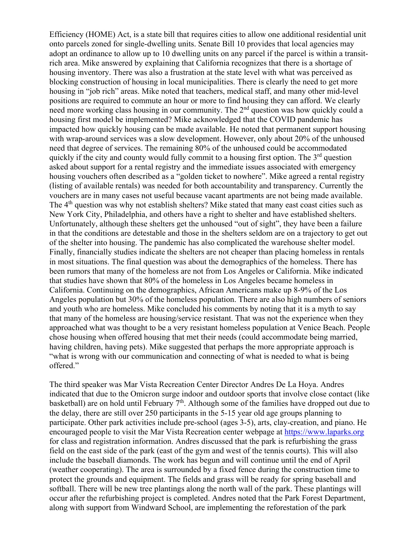Efficiency (HOME) Act, is a state bill that requires cities to allow one additional residential unit onto parcels zoned for single-dwelling units. Senate Bill 10 provides that local agencies may adopt an ordinance to allow up to 10 dwelling units on any parcel if the parcel is within a transitrich area. Mike answered by explaining that California recognizes that there is a shortage of housing inventory. There was also a frustration at the state level with what was perceived as blocking construction of housing in local municipalities. There is clearly the need to get more housing in "job rich" areas. Mike noted that teachers, medical staff, and many other mid-level positions are required to commute an hour or more to find housing they can afford. We clearly need more working class housing in our community. The 2<sup>nd</sup> question was how quickly could a housing first model be implemented? Mike acknowledged that the COVID pandemic has impacted how quickly housing can be made available. He noted that permanent support housing with wrap-around services was a slow development. However, only about 20% of the unhoused need that degree of services. The remaining 80% of the unhoused could be accommodated quickly if the city and county would fully commit to a housing first option. The  $3<sup>rd</sup>$  question asked about support for a rental registry and the immediate issues associated with emergency housing vouchers often described as a "golden ticket to nowhere". Mike agreed a rental registry (listing of available rentals) was needed for both accountability and transparency. Currently the vouchers are in many cases not useful because vacant apartments are not being made available. The 4<sup>th</sup> question was why not establish shelters? Mike stated that many east coast cities such as New York City, Philadelphia, and others have a right to shelter and have established shelters. Unfortunately, although these shelters get the unhoused "out of sight", they have been a failure in that the conditions are detestable and those in the shelters seldom are on a trajectory to get out of the shelter into housing. The pandemic has also complicated the warehouse shelter model. Finally, financially studies indicate the shelters are not cheaper than placing homeless in rentals in most situations. The final question was about the demographics of the homeless. There has been rumors that many of the homeless are not from Los Angeles or California. Mike indicated that studies have shown that 80% of the homeless in Los Angeles became homeless in California. Continuing on the demographics, African Americans make up 8-9% of the Los Angeles population but 30% of the homeless population. There are also high numbers of seniors and youth who are homeless. Mike concluded his comments by noting that it is a myth to say that many of the homeless are housing/service resistant. That was not the experience when they approached what was thought to be a very resistant homeless population at Venice Beach. People chose housing when offered housing that met their needs (could accommodate being married, having children, having pets). Mike suggested that perhaps the more appropriate approach is "what is wrong with our communication and connecting of what is needed to what is being offered."

The third speaker was Mar Vista Recreation Center Director Andres De La Hoya. Andres indicated that due to the Omicron surge indoor and outdoor sports that involve close contact (like basketball) are on hold until February  $7<sup>th</sup>$ . Although some of the families have dropped out due to the delay, there are still over 250 participants in the 5-15 year old age groups planning to participate. Other park activities include pre-school (ages 3-5), arts, clay-creation, and piano. He encouraged people to visit the Mar Vista Recreation center webpage at https://www.laparks.org for class and registration information. Andres discussed that the park is refurbishing the grass field on the east side of the park (east of the gym and west of the tennis courts). This will also include the baseball diamonds. The work has begun and will continue until the end of April (weather cooperating). The area is surrounded by a fixed fence during the construction time to protect the grounds and equipment. The fields and grass will be ready for spring baseball and softball. There will be new tree plantings along the north wall of the park. These plantings will occur after the refurbishing project is completed. Andres noted that the Park Forest Department, along with support from Windward School, are implementing the reforestation of the park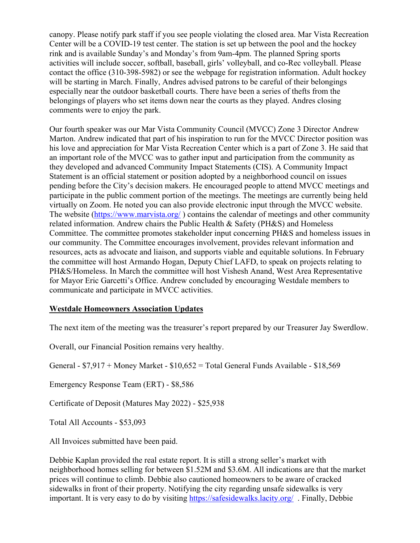canopy. Please notify park staff if you see people violating the closed area. Mar Vista Recreation Center will be a COVID-19 test center. The station is set up between the pool and the hockey rink and is available Sunday's and Monday's from 9am-4pm. The planned Spring sports activities will include soccer, softball, baseball, girls' volleyball, and co-Rec volleyball. Please contact the office (310-398-5982) or see the webpage for registration information. Adult hockey will be starting in March. Finally, Andres advised patrons to be careful of their belongings especially near the outdoor basketball courts. There have been a series of thefts from the belongings of players who set items down near the courts as they played. Andres closing comments were to enjoy the park.

Our fourth speaker was our Mar Vista Community Council (MVCC) Zone 3 Director Andrew Marton. Andrew indicated that part of his inspiration to run for the MVCC Director position was his love and appreciation for Mar Vista Recreation Center which is a part of Zone 3. He said that an important role of the MVCC was to gather input and participation from the community as they developed and advanced Community Impact Statements (CIS). A Community Impact Statement is an official statement or position adopted by a neighborhood council on issues pending before the City's decision makers. He encouraged people to attend MVCC meetings and participate in the public comment portion of the meetings. The meetings are currently being held virtually on Zoom. He noted you can also provide electronic input through the MVCC website. The website [\(https://www.marvista.org/](https://www.marvista.org/)) contains the calendar of meetings and other community related information. Andrew chairs the Public Health & Safety (PH&S) and Homeless Committee. The committee promotes stakeholder input concerning PH&S and homeless issues in our community. The Committee encourages involvement, provides relevant information and resources, acts as advocate and liaison, and supports viable and equitable solutions. In February the committee will host Armando Hogan, Deputy Chief LAFD, to speak on projects relating to PH&S/Homeless. In March the committee will host Vishesh Anand, West Area Representative for Mayor Eric Garcetti's Office. Andrew concluded by encouraging Westdale members to communicate and participate in MVCC activities.

## **Westdale Homeowners Association Updates**

The next item of the meeting was the treasurer's report prepared by our Treasurer Jay Swerdlow.

Overall, our Financial Position remains very healthy.

General - \$7,917 + Money Market - \$10,652 = Total General Funds Available - \$18,569

Emergency Response Team (ERT) - \$8,586

Certificate of Deposit (Matures May 2022) - \$25,938

Total All Accounts - \$53,093

All Invoices submitted have been paid.

Debbie Kaplan provided the real estate report. It is still a strong seller's market with neighborhood homes selling for between \$1.52M and \$3.6M. All indications are that the market prices will continue to climb. Debbie also cautioned homeowners to be aware of cracked sidewalks in front of their property. Notifying the city regarding unsafe sidewalks is very important. It is very easy to do by visiting<https://safesidewalks.lacity.org/>. Finally, Debbie